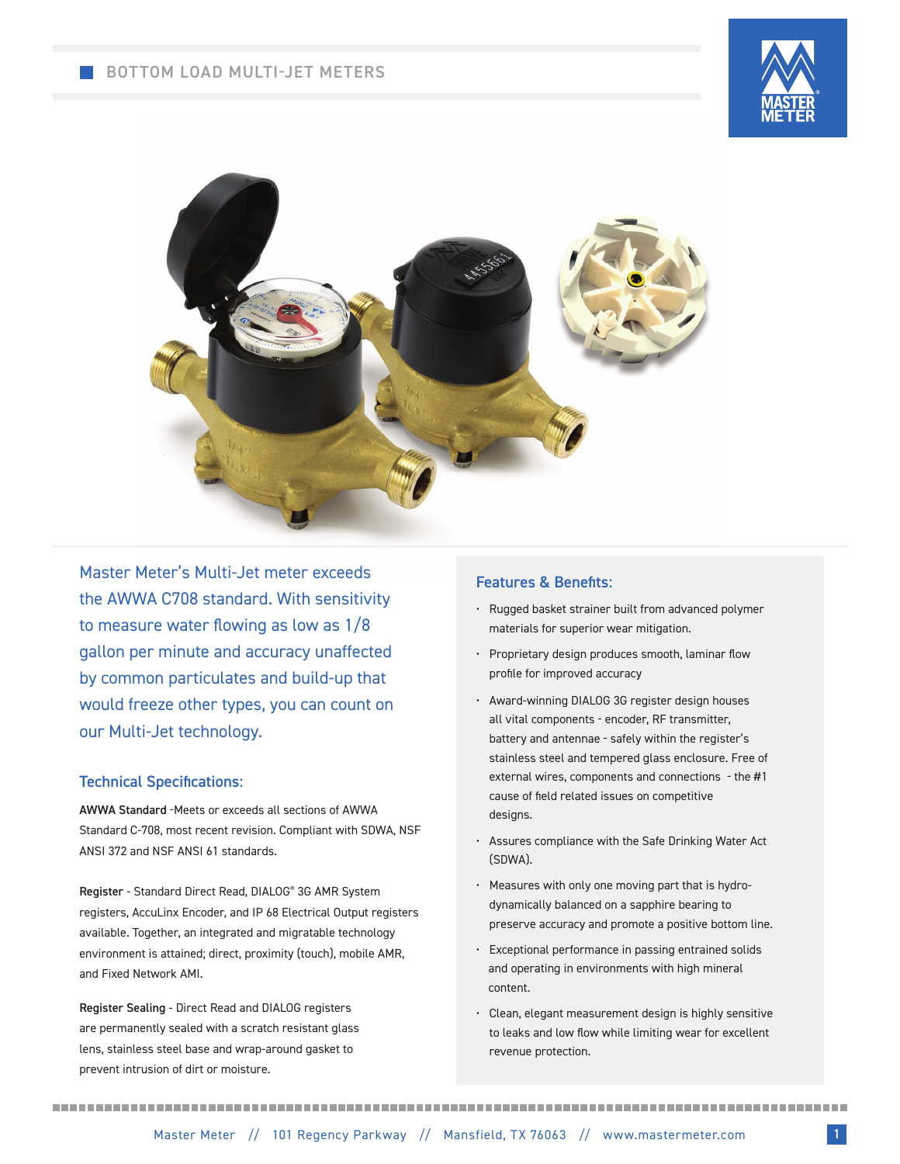## BOTTOM LOAD MULTI-JET METERS





Master Meter's Multi-Jet meter exceeds the AWWA C708 standard. With sensitivity to measure water flowing as low as 1/8 gallon per minute and accuracy unaffected by common particulates and build-up that would freeze other types, you can count on our Multi-Jet technology.

#### Technical Specifications:

AWWA Standard -Meets or exceeds all sections of AWWA Standard C-708, most recent revision. Compliant with SDWA, NSF ANSI 372 and NSF ANSI 61 standards.

Register - Standard Direct Read, DIALOG® 3G AMR System registers, AccuLinx Encoder, and IP 68 Electrical Output registers available. Together, an integrated and migratable technology environment is attained; direct, proximity (touch), mobile AMR, and Fixed Network AMI.

Register Sealing - Direct Read and DIALOG registers are permanently sealed with a scratch resistant glass lens, stainless steel base and wrap-around gasket to prevent intrusion of dirt or moisture.

### Features & Benefits:

- Rugged basket strainer built from advanced polymer materials for superior wear mitigation.
- Proprietary design produces smooth, laminar flow profile for improved accuracy
- Award-winning DIALOG 3G register design houses all vital components - encoder, RF transmitter, battery and antennae - safely within the register's stainless steel and tempered glass enclosure. Free of external wires, components and connections - the #1 cause of field related issues on competitive designs.
- Assures compliance with the Safe Drinking Water Act (SDWA).
- Measures with only one moving part that is hydrodynamically balanced on a sapphire bearing to preserve accuracy and promote a positive bottom line.
- Exceptional performance in passing entrained solids and operating in environments with high mineral content.
- Clean, elegant measurement design is highly sensitive to leaks and low flow while limiting wear for excellent revenue protection.